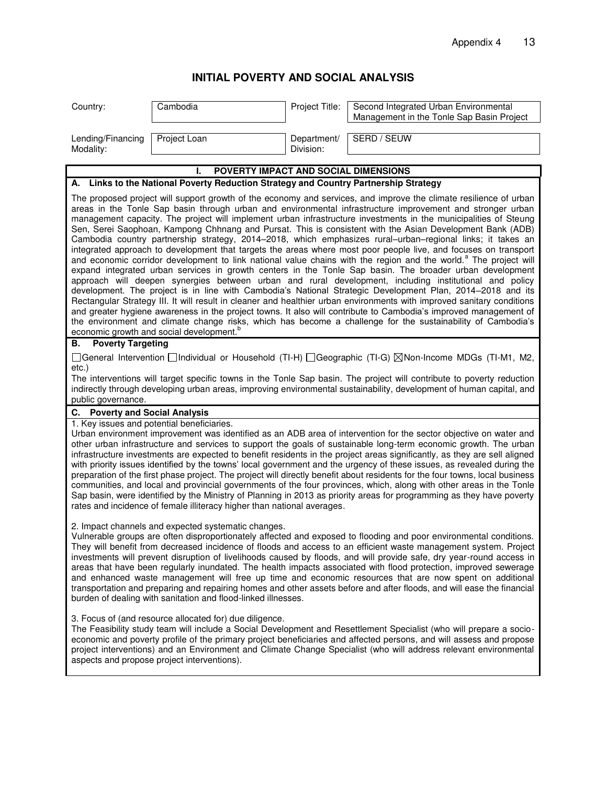## **INITIAL POVERTY AND SOCIAL ANALYSIS**

| Country:                                                                                                                                                                                                                                                                                                                                                                                                                                                                                                                                                                                                                                                                                                                                                                                                                                                                                                                                                                                                                                                                                                                                                                                                                                                                                                                                                                                                                                                                                                                                                                                                                     | Cambodia                             | Project Title:           | Second Integrated Urban Environmental<br>Management in the Tonle Sap Basin Project |  |  |
|------------------------------------------------------------------------------------------------------------------------------------------------------------------------------------------------------------------------------------------------------------------------------------------------------------------------------------------------------------------------------------------------------------------------------------------------------------------------------------------------------------------------------------------------------------------------------------------------------------------------------------------------------------------------------------------------------------------------------------------------------------------------------------------------------------------------------------------------------------------------------------------------------------------------------------------------------------------------------------------------------------------------------------------------------------------------------------------------------------------------------------------------------------------------------------------------------------------------------------------------------------------------------------------------------------------------------------------------------------------------------------------------------------------------------------------------------------------------------------------------------------------------------------------------------------------------------------------------------------------------------|--------------------------------------|--------------------------|------------------------------------------------------------------------------------|--|--|
| Lending/Financing<br>Modality:                                                                                                                                                                                                                                                                                                                                                                                                                                                                                                                                                                                                                                                                                                                                                                                                                                                                                                                                                                                                                                                                                                                                                                                                                                                                                                                                                                                                                                                                                                                                                                                               | Project Loan                         | Department/<br>Division: | SERD / SEUW                                                                        |  |  |
|                                                                                                                                                                                                                                                                                                                                                                                                                                                                                                                                                                                                                                                                                                                                                                                                                                                                                                                                                                                                                                                                                                                                                                                                                                                                                                                                                                                                                                                                                                                                                                                                                              | POVERTY IMPACT AND SOCIAL DIMENSIONS |                          |                                                                                    |  |  |
| A. Links to the National Poverty Reduction Strategy and Country Partnership Strategy                                                                                                                                                                                                                                                                                                                                                                                                                                                                                                                                                                                                                                                                                                                                                                                                                                                                                                                                                                                                                                                                                                                                                                                                                                                                                                                                                                                                                                                                                                                                         |                                      |                          |                                                                                    |  |  |
| The proposed project will support growth of the economy and services, and improve the climate resilience of urban<br>areas in the Tonle Sap basin through urban and environmental infrastructure improvement and stronger urban<br>management capacity. The project will implement urban infrastructure investments in the municipalities of Steung<br>Sen, Serei Saophoan, Kampong Chhnang and Pursat. This is consistent with the Asian Development Bank (ADB)<br>Cambodia country partnership strategy, 2014-2018, which emphasizes rural-urban-regional links; it takes an<br>integrated approach to development that targets the areas where most poor people live, and focuses on transport<br>and economic corridor development to link national value chains with the region and the world. <sup>a</sup> The project will<br>expand integrated urban services in growth centers in the Tonle Sap basin. The broader urban development<br>approach will deepen synergies between urban and rural development, including institutional and policy<br>development. The project is in line with Cambodia's National Strategic Development Plan, 2014-2018 and its<br>Rectangular Strategy III. It will result in cleaner and healthier urban environments with improved sanitary conditions<br>and greater hygiene awareness in the project towns. It also will contribute to Cambodia's improved management of<br>the environment and climate change risks, which has become a challenge for the sustainability of Cambodia's<br>economic growth and social development. <sup>b</sup><br><b>Poverty Targeting</b><br>В. |                                      |                          |                                                                                    |  |  |
| □General Intervention □Individual or Household (TI-H) □Geographic (TI-G) ⊠Non-Income MDGs (TI-M1, M2,<br>$etc.$ )<br>The interventions will target specific towns in the Tonle Sap basin. The project will contribute to poverty reduction<br>indirectly through developing urban areas, improving environmental sustainability, development of human capital, and<br>public governance.                                                                                                                                                                                                                                                                                                                                                                                                                                                                                                                                                                                                                                                                                                                                                                                                                                                                                                                                                                                                                                                                                                                                                                                                                                     |                                      |                          |                                                                                    |  |  |
| C. Poverty and Social Analysis                                                                                                                                                                                                                                                                                                                                                                                                                                                                                                                                                                                                                                                                                                                                                                                                                                                                                                                                                                                                                                                                                                                                                                                                                                                                                                                                                                                                                                                                                                                                                                                               |                                      |                          |                                                                                    |  |  |
| 1. Key issues and potential beneficiaries.<br>Urban environment improvement was identified as an ADB area of intervention for the sector objective on water and<br>other urban infrastructure and services to support the goals of sustainable long-term economic growth. The urban<br>infrastructure investments are expected to benefit residents in the project areas significantly, as they are sell aligned<br>with priority issues identified by the towns' local government and the urgency of these issues, as revealed during the<br>preparation of the first phase project. The project will directly benefit about residents for the four towns, local business<br>communities, and local and provincial governments of the four provinces, which, along with other areas in the Tonle<br>Sap basin, were identified by the Ministry of Planning in 2013 as priority areas for programming as they have poverty<br>rates and incidence of female illiteracy higher than national averages.                                                                                                                                                                                                                                                                                                                                                                                                                                                                                                                                                                                                                        |                                      |                          |                                                                                    |  |  |
| 2. Impact channels and expected systematic changes.<br>Vulnerable groups are often disproportionately affected and exposed to flooding and poor environmental conditions.<br>They will benefit from decreased incidence of floods and access to an efficient waste management system. Project<br>investments will prevent disruption of livelihoods caused by floods, and will provide safe, dry year-round access in<br>areas that have been regularly inundated. The health impacts associated with flood protection, improved sewerage<br>and enhanced waste management will free up time and economic resources that are now spent on additional<br>transportation and preparing and repairing homes and other assets before and after floods, and will ease the financial<br>burden of dealing with sanitation and flood-linked illnesses.                                                                                                                                                                                                                                                                                                                                                                                                                                                                                                                                                                                                                                                                                                                                                                              |                                      |                          |                                                                                    |  |  |
| 3. Focus of (and resource allocated for) due diligence.<br>The Feasibility study team will include a Social Development and Resettlement Specialist (who will prepare a socio-<br>economic and poverty profile of the primary project beneficiaries and affected persons, and will assess and propose<br>project interventions) and an Environment and Climate Change Specialist (who will address relevant environmental<br>aspects and propose project interventions).                                                                                                                                                                                                                                                                                                                                                                                                                                                                                                                                                                                                                                                                                                                                                                                                                                                                                                                                                                                                                                                                                                                                                     |                                      |                          |                                                                                    |  |  |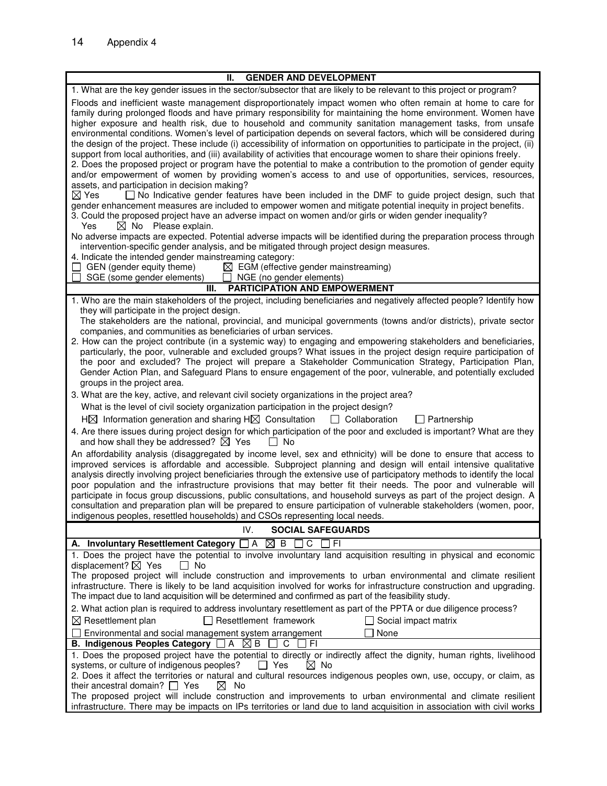| <b>GENDER AND DEVELOPMENT</b><br>Ш.                                                                                                                                                                                                                                                                                                                                                                                                                                                                                                                                                                                                                                                                                                                                                                                                                                                                                                                                                                                                                                                                                                                                                                                                                                                                                                                                                                                                                                                                                                                                                                                                                                                                                                                                                 |  |  |  |
|-------------------------------------------------------------------------------------------------------------------------------------------------------------------------------------------------------------------------------------------------------------------------------------------------------------------------------------------------------------------------------------------------------------------------------------------------------------------------------------------------------------------------------------------------------------------------------------------------------------------------------------------------------------------------------------------------------------------------------------------------------------------------------------------------------------------------------------------------------------------------------------------------------------------------------------------------------------------------------------------------------------------------------------------------------------------------------------------------------------------------------------------------------------------------------------------------------------------------------------------------------------------------------------------------------------------------------------------------------------------------------------------------------------------------------------------------------------------------------------------------------------------------------------------------------------------------------------------------------------------------------------------------------------------------------------------------------------------------------------------------------------------------------------|--|--|--|
| 1. What are the key gender issues in the sector/subsector that are likely to be relevant to this project or program?                                                                                                                                                                                                                                                                                                                                                                                                                                                                                                                                                                                                                                                                                                                                                                                                                                                                                                                                                                                                                                                                                                                                                                                                                                                                                                                                                                                                                                                                                                                                                                                                                                                                |  |  |  |
| Floods and inefficient waste management disproportionately impact women who often remain at home to care for<br>family during prolonged floods and have primary responsibility for maintaining the home environment. Women have<br>higher exposure and health risk, due to household and community sanitation management tasks, from unsafe<br>environmental conditions. Women's level of participation depends on several factors, which will be considered during<br>the design of the project. These include (i) accessibility of information on opportunities to participate in the project, (ii)<br>support from local authorities, and (iii) availability of activities that encourage women to share their opinions freely.<br>2. Does the proposed project or program have the potential to make a contribution to the promotion of gender equity<br>and/or empowerment of women by providing women's access to and use of opportunities, services, resources,<br>assets, and participation in decision making?<br>$\boxtimes$ Yes<br>□ No Indicative gender features have been included in the DMF to guide project design, such that<br>gender enhancement measures are included to empower women and mitigate potential inequity in project benefits.<br>3. Could the proposed project have an adverse impact on women and/or girls or widen gender inequality?<br>$\boxtimes$ No Please explain.<br>Yes<br>No adverse impacts are expected. Potential adverse impacts will be identified during the preparation process through<br>intervention-specific gender analysis, and be mitigated through project design measures.<br>4. Indicate the intended gender mainstreaming category:<br>GEN (gender equity theme)<br>$\boxtimes$ EGM (effective gender mainstreaming) |  |  |  |
| SGE (some gender elements)<br>NGE (no gender elements)                                                                                                                                                                                                                                                                                                                                                                                                                                                                                                                                                                                                                                                                                                                                                                                                                                                                                                                                                                                                                                                                                                                                                                                                                                                                                                                                                                                                                                                                                                                                                                                                                                                                                                                              |  |  |  |
| <b>PARTICIPATION AND EMPOWERMENT</b><br>III.                                                                                                                                                                                                                                                                                                                                                                                                                                                                                                                                                                                                                                                                                                                                                                                                                                                                                                                                                                                                                                                                                                                                                                                                                                                                                                                                                                                                                                                                                                                                                                                                                                                                                                                                        |  |  |  |
| 1. Who are the main stakeholders of the project, including beneficiaries and negatively affected people? Identify how<br>they will participate in the project design.<br>The stakeholders are the national, provincial, and municipal governments (towns and/or districts), private sector<br>companies, and communities as beneficiaries of urban services.<br>2. How can the project contribute (in a systemic way) to engaging and empowering stakeholders and beneficiaries,<br>particularly, the poor, vulnerable and excluded groups? What issues in the project design require participation of<br>the poor and excluded? The project will prepare a Stakeholder Communication Strategy, Participation Plan,<br>Gender Action Plan, and Safeguard Plans to ensure engagement of the poor, vulnerable, and potentially excluded<br>groups in the project area.<br>3. What are the key, active, and relevant civil society organizations in the project area?                                                                                                                                                                                                                                                                                                                                                                                                                                                                                                                                                                                                                                                                                                                                                                                                                  |  |  |  |
| What is the level of civil society organization participation in the project design?                                                                                                                                                                                                                                                                                                                                                                                                                                                                                                                                                                                                                                                                                                                                                                                                                                                                                                                                                                                                                                                                                                                                                                                                                                                                                                                                                                                                                                                                                                                                                                                                                                                                                                |  |  |  |
| $H\boxtimes$ Information generation and sharing H $\boxtimes$ Consultation $\Box$ Collaboration<br>$\Box$ Partnership                                                                                                                                                                                                                                                                                                                                                                                                                                                                                                                                                                                                                                                                                                                                                                                                                                                                                                                                                                                                                                                                                                                                                                                                                                                                                                                                                                                                                                                                                                                                                                                                                                                               |  |  |  |
| 4. Are there issues during project design for which participation of the poor and excluded is important? What are they<br>and how shall they be addressed? $\boxtimes$ Yes<br>$\Box$ No                                                                                                                                                                                                                                                                                                                                                                                                                                                                                                                                                                                                                                                                                                                                                                                                                                                                                                                                                                                                                                                                                                                                                                                                                                                                                                                                                                                                                                                                                                                                                                                             |  |  |  |
| An affordability analysis (disaggregated by income level, sex and ethnicity) will be done to ensure that access to<br>improved services is affordable and accessible. Subproject planning and design will entail intensive qualitative<br>analysis directly involving project beneficiaries through the extensive use of participatory methods to identify the local<br>poor population and the infrastructure provisions that may better fit their needs. The poor and vulnerable will<br>participate in focus group discussions, public consultations, and household surveys as part of the project design. A<br>consultation and preparation plan will be prepared to ensure participation of vulnerable stakeholders (women, poor,<br>indigenous peoples, resettled households) and CSOs representing local needs.                                                                                                                                                                                                                                                                                                                                                                                                                                                                                                                                                                                                                                                                                                                                                                                                                                                                                                                                                              |  |  |  |
| IV.<br><b>SOCIAL SAFEGUARDS</b>                                                                                                                                                                                                                                                                                                                                                                                                                                                                                                                                                                                                                                                                                                                                                                                                                                                                                                                                                                                                                                                                                                                                                                                                                                                                                                                                                                                                                                                                                                                                                                                                                                                                                                                                                     |  |  |  |
| $\boxtimes$ B<br>C<br><b>FI</b><br>A. Involuntary Resettlement Category $\Box$ A                                                                                                                                                                                                                                                                                                                                                                                                                                                                                                                                                                                                                                                                                                                                                                                                                                                                                                                                                                                                                                                                                                                                                                                                                                                                                                                                                                                                                                                                                                                                                                                                                                                                                                    |  |  |  |
| 1. Does the project have the potential to involve involuntary land acquisition resulting in physical and economic<br>displacement? $\boxtimes$ Yes<br>l I No<br>The proposed project will include construction and improvements to urban environmental and climate resilient<br>infrastructure. There is likely to be land acquisition involved for works for infrastructure construction and upgrading.<br>The impact due to land acquisition will be determined and confirmed as part of the feasibility study.                                                                                                                                                                                                                                                                                                                                                                                                                                                                                                                                                                                                                                                                                                                                                                                                                                                                                                                                                                                                                                                                                                                                                                                                                                                                   |  |  |  |
| 2. What action plan is required to address involuntary resettlement as part of the PPTA or due diligence process?                                                                                                                                                                                                                                                                                                                                                                                                                                                                                                                                                                                                                                                                                                                                                                                                                                                                                                                                                                                                                                                                                                                                                                                                                                                                                                                                                                                                                                                                                                                                                                                                                                                                   |  |  |  |
| $\boxtimes$ Resettlement plan<br>$\Box$ Resettlement framework<br>$\Box$ Social impact matrix<br>$\Box$ Environmental and social management system arrangement<br>None                                                                                                                                                                                                                                                                                                                                                                                                                                                                                                                                                                                                                                                                                                                                                                                                                                                                                                                                                                                                                                                                                                                                                                                                                                                                                                                                                                                                                                                                                                                                                                                                              |  |  |  |
| B. Indigenous Peoples Category $\Box A \boxtimes B$<br>FI.<br>C                                                                                                                                                                                                                                                                                                                                                                                                                                                                                                                                                                                                                                                                                                                                                                                                                                                                                                                                                                                                                                                                                                                                                                                                                                                                                                                                                                                                                                                                                                                                                                                                                                                                                                                     |  |  |  |
| 1. Does the proposed project have the potential to directly or indirectly affect the dignity, human rights, livelihood<br>$\boxtimes$ No<br>systems, or culture of indigenous peoples?<br>$\Box$ Yes<br>2. Does it affect the territories or natural and cultural resources indigenous peoples own, use, occupy, or claim, as<br>their ancestral domain? $\Box$ Yes<br>⊠<br>No<br>The proposed project will include construction and improvements to urban environmental and climate resilient<br>infrastructure. There may be impacts on IPs territories or land due to land acquisition in association with civil works                                                                                                                                                                                                                                                                                                                                                                                                                                                                                                                                                                                                                                                                                                                                                                                                                                                                                                                                                                                                                                                                                                                                                           |  |  |  |